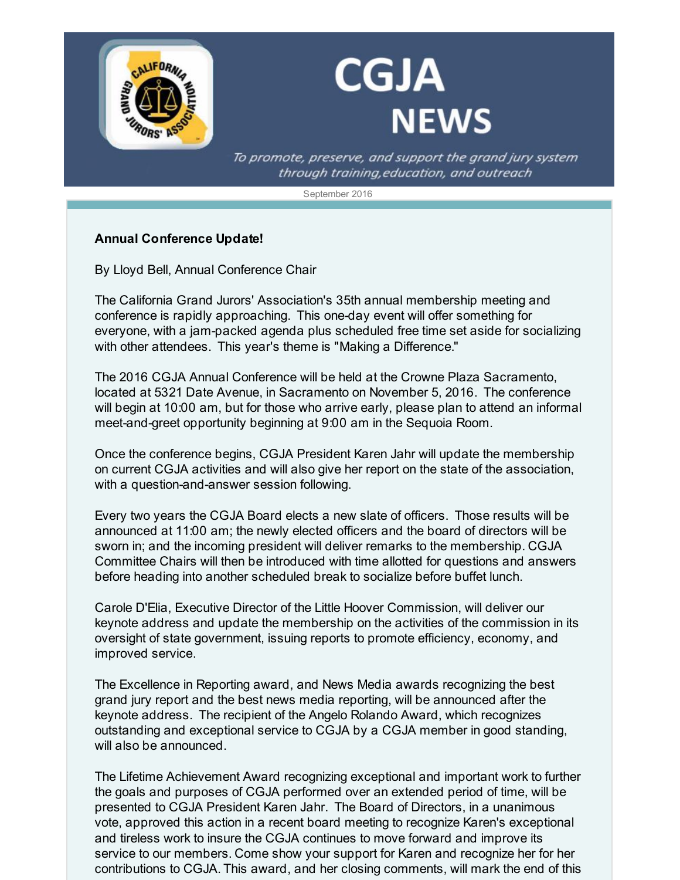

## **CGJA NEWS**

To promote, preserve, and support the grand jury system through training, education, and outreach

September 2016

## **Annual Conference Update!**

By Lloyd Bell, Annual Conference Chair

The California Grand Jurors' Association's 35th annual membership meeting and conference is rapidly approaching. This one-day event will offer something for everyone, with a jam-packed agenda plus scheduled free time set aside for socializing with other attendees. This year's theme is "Making a Difference."

The 2016 CGJA Annual Conference will be held at the Crowne Plaza Sacramento, located at 5321 Date Avenue, in Sacramento on November 5, 2016. The conference will begin at 10:00 am, but for those who arrive early, please plan to attend an informal meet-and-greet opportunity beginning at 9:00 am in the Sequoia Room.

Once the conference begins, CGJA President Karen Jahr will update the membership on current CGJA activities and will also give her report on the state of the association, with a question-and-answer session following.

Every two years the CGJA Board elects a new slate of officers. Those results will be announced at 11:00 am; the newly elected officers and the board of directors will be sworn in; and the incoming president will deliver remarks to the membership. CGJA Committee Chairs will then be introduced with time allotted for questions and answers before heading into another scheduled break to socialize before buffet lunch.

Carole D'Elia, Executive Director of the Little Hoover Commission, will deliver our keynote address and update the membership on the activities of the commission in its oversight of state government, issuing reports to promote efficiency, economy, and improved service.

The Excellence in Reporting award, and News Media awards recognizing the best grand jury report and the best news media reporting, will be announced after the keynote address. The recipient of the Angelo Rolando Award, which recognizes outstanding and exceptional service to CGJA by a CGJA member in good standing, will also be announced.

The Lifetime Achievement Award recognizing exceptional and important work to further the goals and purposes of CGJA performed over an extended period of time, will be presented to CGJA President Karen Jahr. The Board of Directors, in a unanimous vote, approved this action in a recent board meeting to recognize Karen's exceptional and tireless work to insure the CGJA continues to move forward and improve its service to our members. Come show your support for Karen and recognize her for her contributions to CGJA. This award, and her closing comments, will mark the end of this